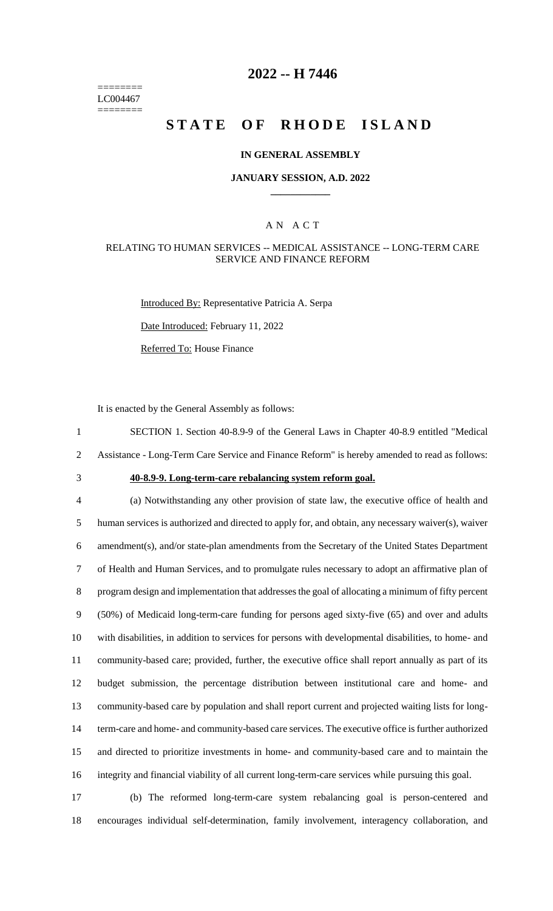======== LC004467 ========

## **2022 -- H 7446**

# **STATE OF RHODE ISLAND**

### **IN GENERAL ASSEMBLY**

### **JANUARY SESSION, A.D. 2022 \_\_\_\_\_\_\_\_\_\_\_\_**

## A N A C T

## RELATING TO HUMAN SERVICES -- MEDICAL ASSISTANCE -- LONG-TERM CARE SERVICE AND FINANCE REFORM

Introduced By: Representative Patricia A. Serpa Date Introduced: February 11, 2022

Referred To: House Finance

It is enacted by the General Assembly as follows:

1 SECTION 1. Section 40-8.9-9 of the General Laws in Chapter 40-8.9 entitled "Medical 2 Assistance - Long-Term Care Service and Finance Reform" is hereby amended to read as follows:

## 3 **40-8.9-9. Long-term-care rebalancing system reform goal.**

 (a) Notwithstanding any other provision of state law, the executive office of health and human services is authorized and directed to apply for, and obtain, any necessary waiver(s), waiver amendment(s), and/or state-plan amendments from the Secretary of the United States Department of Health and Human Services, and to promulgate rules necessary to adopt an affirmative plan of program design and implementation that addresses the goal of allocating a minimum of fifty percent (50%) of Medicaid long-term-care funding for persons aged sixty-five (65) and over and adults with disabilities, in addition to services for persons with developmental disabilities, to home- and community-based care; provided, further, the executive office shall report annually as part of its budget submission, the percentage distribution between institutional care and home- and community-based care by population and shall report current and projected waiting lists for long- term-care and home- and community-based care services. The executive office is further authorized and directed to prioritize investments in home- and community-based care and to maintain the integrity and financial viability of all current long-term-care services while pursuing this goal.

17 (b) The reformed long-term-care system rebalancing goal is person-centered and 18 encourages individual self-determination, family involvement, interagency collaboration, and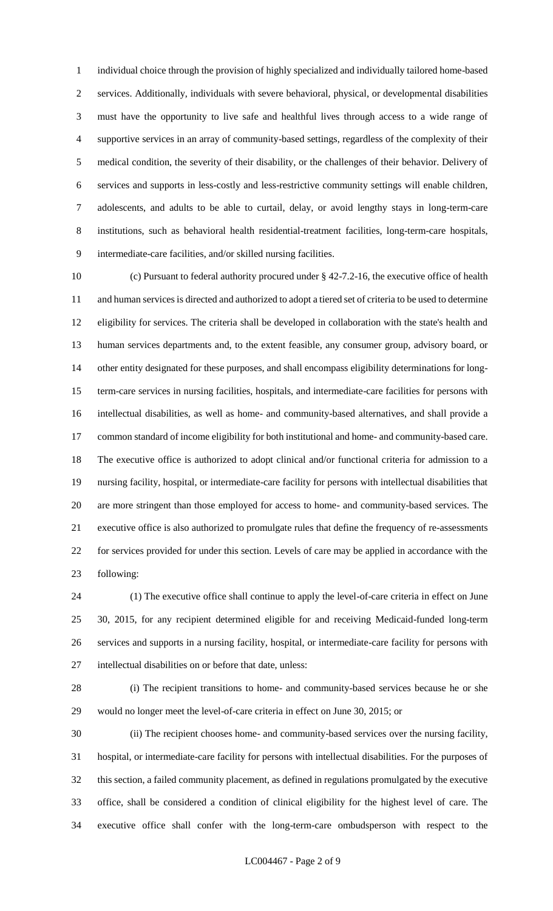individual choice through the provision of highly specialized and individually tailored home-based services. Additionally, individuals with severe behavioral, physical, or developmental disabilities must have the opportunity to live safe and healthful lives through access to a wide range of supportive services in an array of community-based settings, regardless of the complexity of their medical condition, the severity of their disability, or the challenges of their behavior. Delivery of services and supports in less-costly and less-restrictive community settings will enable children, adolescents, and adults to be able to curtail, delay, or avoid lengthy stays in long-term-care institutions, such as behavioral health residential-treatment facilities, long-term-care hospitals, intermediate-care facilities, and/or skilled nursing facilities.

 (c) Pursuant to federal authority procured under § 42-7.2-16, the executive office of health and human services is directed and authorized to adopt a tiered set of criteria to be used to determine eligibility for services. The criteria shall be developed in collaboration with the state's health and human services departments and, to the extent feasible, any consumer group, advisory board, or other entity designated for these purposes, and shall encompass eligibility determinations for long- term-care services in nursing facilities, hospitals, and intermediate-care facilities for persons with intellectual disabilities, as well as home- and community-based alternatives, and shall provide a common standard of income eligibility for both institutional and home- and community-based care. The executive office is authorized to adopt clinical and/or functional criteria for admission to a nursing facility, hospital, or intermediate-care facility for persons with intellectual disabilities that are more stringent than those employed for access to home- and community-based services. The executive office is also authorized to promulgate rules that define the frequency of re-assessments for services provided for under this section. Levels of care may be applied in accordance with the following:

 (1) The executive office shall continue to apply the level-of-care criteria in effect on June 30, 2015, for any recipient determined eligible for and receiving Medicaid-funded long-term services and supports in a nursing facility, hospital, or intermediate-care facility for persons with intellectual disabilities on or before that date, unless:

 (i) The recipient transitions to home- and community-based services because he or she would no longer meet the level-of-care criteria in effect on June 30, 2015; or

 (ii) The recipient chooses home- and community-based services over the nursing facility, hospital, or intermediate-care facility for persons with intellectual disabilities. For the purposes of this section, a failed community placement, as defined in regulations promulgated by the executive office, shall be considered a condition of clinical eligibility for the highest level of care. The executive office shall confer with the long-term-care ombudsperson with respect to the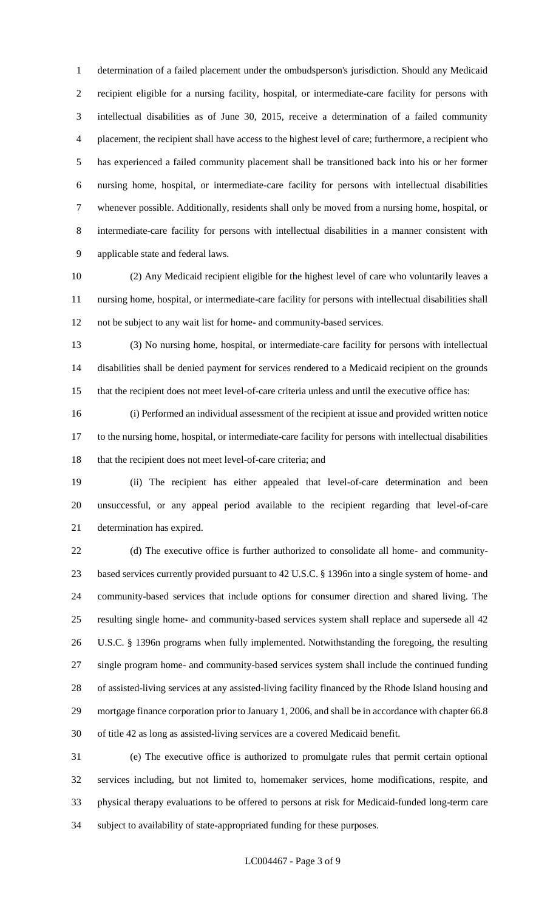determination of a failed placement under the ombudsperson's jurisdiction. Should any Medicaid recipient eligible for a nursing facility, hospital, or intermediate-care facility for persons with intellectual disabilities as of June 30, 2015, receive a determination of a failed community placement, the recipient shall have access to the highest level of care; furthermore, a recipient who has experienced a failed community placement shall be transitioned back into his or her former nursing home, hospital, or intermediate-care facility for persons with intellectual disabilities whenever possible. Additionally, residents shall only be moved from a nursing home, hospital, or intermediate-care facility for persons with intellectual disabilities in a manner consistent with applicable state and federal laws.

 (2) Any Medicaid recipient eligible for the highest level of care who voluntarily leaves a nursing home, hospital, or intermediate-care facility for persons with intellectual disabilities shall not be subject to any wait list for home- and community-based services.

 (3) No nursing home, hospital, or intermediate-care facility for persons with intellectual disabilities shall be denied payment for services rendered to a Medicaid recipient on the grounds that the recipient does not meet level-of-care criteria unless and until the executive office has:

 (i) Performed an individual assessment of the recipient at issue and provided written notice to the nursing home, hospital, or intermediate-care facility for persons with intellectual disabilities 18 that the recipient does not meet level-of-care criteria; and

 (ii) The recipient has either appealed that level-of-care determination and been unsuccessful, or any appeal period available to the recipient regarding that level-of-care determination has expired.

 (d) The executive office is further authorized to consolidate all home- and community- based services currently provided pursuant to 42 U.S.C. § 1396n into a single system of home- and community-based services that include options for consumer direction and shared living. The resulting single home- and community-based services system shall replace and supersede all 42 U.S.C. § 1396n programs when fully implemented. Notwithstanding the foregoing, the resulting single program home- and community-based services system shall include the continued funding of assisted-living services at any assisted-living facility financed by the Rhode Island housing and mortgage finance corporation prior to January 1, 2006, and shall be in accordance with chapter 66.8 of title 42 as long as assisted-living services are a covered Medicaid benefit.

 (e) The executive office is authorized to promulgate rules that permit certain optional services including, but not limited to, homemaker services, home modifications, respite, and physical therapy evaluations to be offered to persons at risk for Medicaid-funded long-term care subject to availability of state-appropriated funding for these purposes.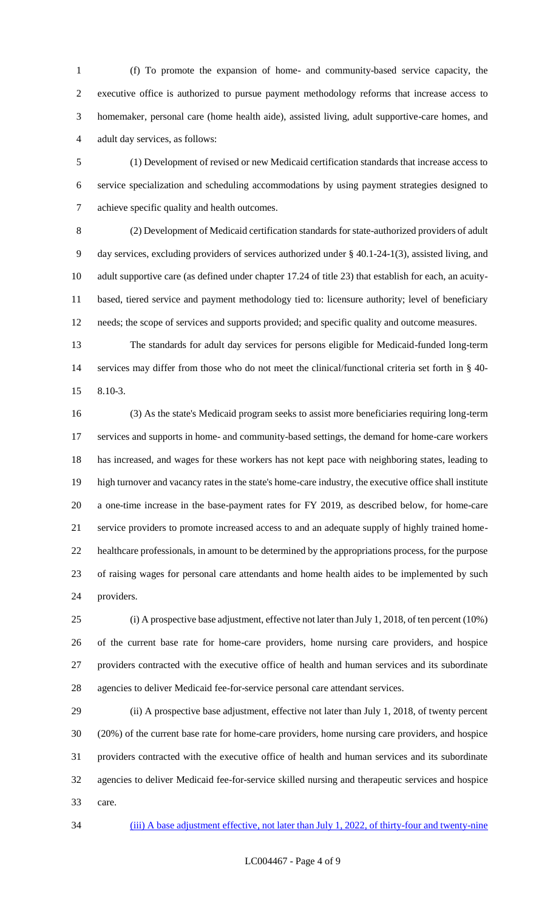(f) To promote the expansion of home- and community-based service capacity, the executive office is authorized to pursue payment methodology reforms that increase access to homemaker, personal care (home health aide), assisted living, adult supportive-care homes, and adult day services, as follows:

 (1) Development of revised or new Medicaid certification standards that increase access to service specialization and scheduling accommodations by using payment strategies designed to achieve specific quality and health outcomes.

 (2) Development of Medicaid certification standards for state-authorized providers of adult day services, excluding providers of services authorized under § 40.1-24-1(3), assisted living, and adult supportive care (as defined under chapter 17.24 of title 23) that establish for each, an acuity- based, tiered service and payment methodology tied to: licensure authority; level of beneficiary needs; the scope of services and supports provided; and specific quality and outcome measures.

 The standards for adult day services for persons eligible for Medicaid-funded long-term services may differ from those who do not meet the clinical/functional criteria set forth in § 40- 8.10-3.

 (3) As the state's Medicaid program seeks to assist more beneficiaries requiring long-term services and supports in home- and community-based settings, the demand for home-care workers has increased, and wages for these workers has not kept pace with neighboring states, leading to high turnover and vacancy rates in the state's home-care industry, the executive office shall institute a one-time increase in the base-payment rates for FY 2019, as described below, for home-care service providers to promote increased access to and an adequate supply of highly trained home- healthcare professionals, in amount to be determined by the appropriations process, for the purpose of raising wages for personal care attendants and home health aides to be implemented by such providers.

 (i) A prospective base adjustment, effective not later than July 1, 2018, of ten percent (10%) of the current base rate for home-care providers, home nursing care providers, and hospice providers contracted with the executive office of health and human services and its subordinate agencies to deliver Medicaid fee-for-service personal care attendant services.

 (ii) A prospective base adjustment, effective not later than July 1, 2018, of twenty percent (20%) of the current base rate for home-care providers, home nursing care providers, and hospice providers contracted with the executive office of health and human services and its subordinate agencies to deliver Medicaid fee-for-service skilled nursing and therapeutic services and hospice care.

(iii) A base adjustment effective, not later than July 1, 2022, of thirty-four and twenty-nine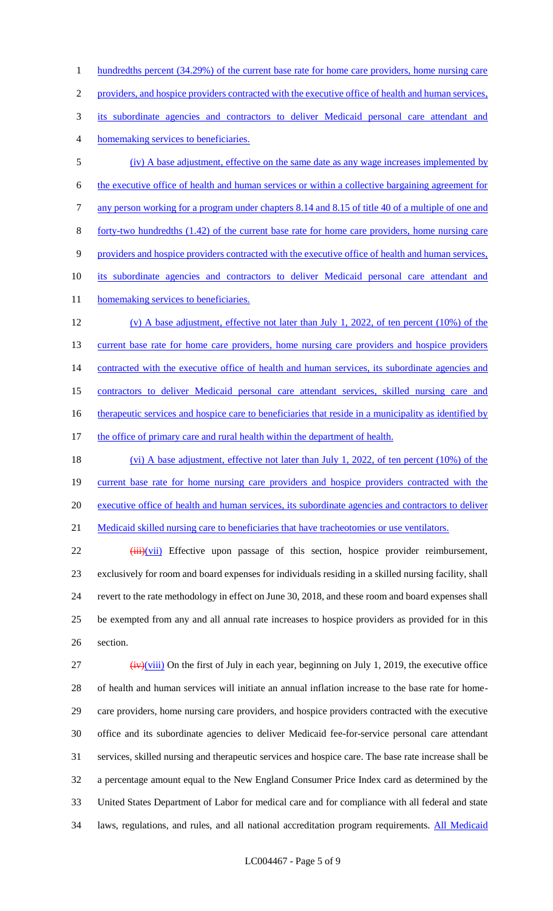1 hundredths percent (34.29%) of the current base rate for home care providers, home nursing care providers, and hospice providers contracted with the executive office of health and human services, its subordinate agencies and contractors to deliver Medicaid personal care attendant and homemaking services to beneficiaries. (iv) A base adjustment, effective on the same date as any wage increases implemented by the executive office of health and human services or within a collective bargaining agreement for any person working for a program under chapters 8.14 and 8.15 of title 40 of a multiple of one and forty-two hundredths (1.42) of the current base rate for home care providers, home nursing care providers and hospice providers contracted with the executive office of health and human services, its subordinate agencies and contractors to deliver Medicaid personal care attendant and 11 homemaking services to beneficiaries. (v) A base adjustment, effective not later than July 1, 2022, of ten percent (10%) of the 13 current base rate for home care providers, home nursing care providers and hospice providers 14 contracted with the executive office of health and human services, its subordinate agencies and contractors to deliver Medicaid personal care attendant services, skilled nursing care and 16 therapeutic services and hospice care to beneficiaries that reside in a municipality as identified by 17 the office of primary care and rural health within the department of health.

18 (vi) A base adjustment, effective not later than July 1, 2022, of ten percent (10%) of the 19 current base rate for home nursing care providers and hospice providers contracted with the 20 executive office of health and human services, its subordinate agencies and contractors to deliver 21 Medicaid skilled nursing care to beneficiaries that have tracheotomies or use ventilators.

22 (iii)(vii) Effective upon passage of this section, hospice provider reimbursement, 23 exclusively for room and board expenses for individuals residing in a skilled nursing facility, shall 24 revert to the rate methodology in effect on June 30, 2018, and these room and board expenses shall 25 be exempted from any and all annual rate increases to hospice providers as provided for in this 26 section.

 $\frac{1}{27}$  (iv)(viii) On the first of July in each year, beginning on July 1, 2019, the executive office of health and human services will initiate an annual inflation increase to the base rate for home- care providers, home nursing care providers, and hospice providers contracted with the executive office and its subordinate agencies to deliver Medicaid fee-for-service personal care attendant services, skilled nursing and therapeutic services and hospice care. The base rate increase shall be a percentage amount equal to the New England Consumer Price Index card as determined by the United States Department of Labor for medical care and for compliance with all federal and state 34 laws, regulations, and rules, and all national accreditation program requirements. All Medicaid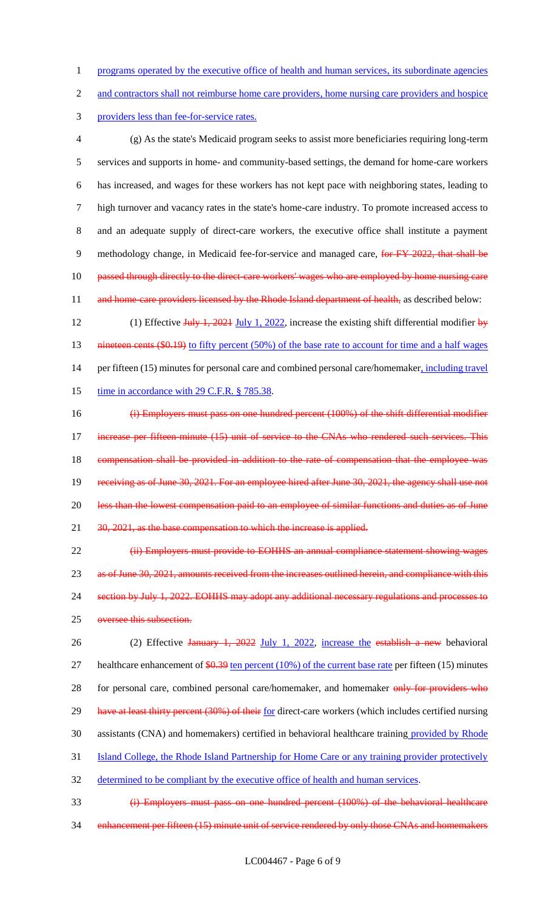1 programs operated by the executive office of health and human services, its subordinate agencies

2 and contractors shall not reimburse home care providers, home nursing care providers and hospice

3 providers less than fee-for-service rates.

 (g) As the state's Medicaid program seeks to assist more beneficiaries requiring long-term services and supports in home- and community-based settings, the demand for home-care workers has increased, and wages for these workers has not kept pace with neighboring states, leading to high turnover and vacancy rates in the state's home-care industry. To promote increased access to and an adequate supply of direct-care workers, the executive office shall institute a payment 9 methodology change, in Medicaid fee-for-service and managed care, for FY 2022, that shall be 10 passed through directly to the direct-care workers' wages who are employed by home nursing care 11 and home-care providers licensed by the Rhode Island department of health, as described below:

12 (1) Effective July 1, 2021 July 1, 2022, increase the existing shift differential modifier by 13 nineteen cents (\$0.19) to fifty percent (50%) of the base rate to account for time and a half wages 14 per fifteen (15) minutes for personal care and combined personal care/homemaker, including travel 15 time in accordance with 29 C.F.R. § 785.38.

16 (i) Employers must pass on one hundred percent (100%) of the shift differential modifier 17 increase per fifteen minute (15) unit of service to the CNAs who rendered such services. This 18 compensation shall be provided in addition to the rate of compensation that the employee was 19 receiving as of June 30, 2021. For an employee hired after June 30, 2021, the agency shall use not 20 less than the lowest compensation paid to an employee of similar functions and duties as of June 21 30, 2021, as the base compensation to which the increase is applied.

22 (ii) Employers must provide to EOHHS an annual compliance statement showing wages 23 as of June 30, 2021, amounts received from the increases outlined herein, and compliance with this 24 section by July 1, 2022. EOHHS may adopt any additional necessary regulations and processes to 25 oversee this subsection.

26 (2) Effective January 1, 2022 July 1, 2022, increase the establish a new behavioral 27 healthcare enhancement of  $$0.39$  ten percent (10%) of the current base rate per fifteen (15) minutes 28 for personal care, combined personal care/homemaker, and homemaker only for providers who 29 have at least thirty percent (30%) of their for direct-care workers (which includes certified nursing 30 assistants (CNA) and homemakers) certified in behavioral healthcare training provided by Rhode 31 Island College, the Rhode Island Partnership for Home Care or any training provider protectively 32 determined to be compliant by the executive office of health and human services.

33 (i) Employers must pass on one hundred percent (100%) of the behavioral healthcare 34 enhancement per fifteen (15) minute unit of service rendered by only those CNAs and homemakers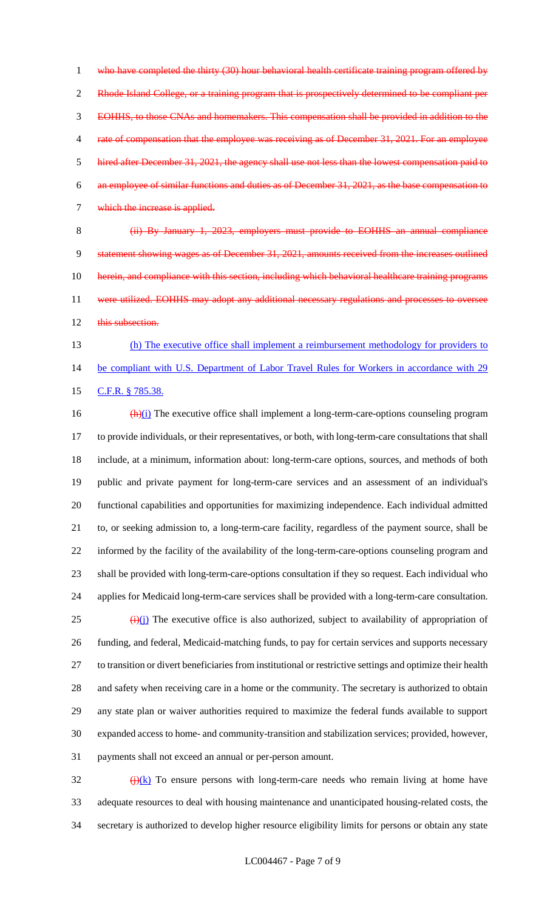1 who have completed the thirty (30) hour behavioral health certificate training program offered by 2 Rhode Island College, or a training program that is prospectively determined to be compliant per EOHHS, to those CNAs and homemakers. This compensation shall be provided in addition to the 4 rate of compensation that the employee was receiving as of December 31, 2021. For an employee hired after December 31, 2021, the agency shall use not less than the lowest compensation paid to an employee of similar functions and duties as of December 31, 2021, as the base compensation to which the increase is applied.

 (ii) By January 1, 2023, employers must provide to EOHHS an annual compliance statement showing wages as of December 31, 2021, amounts received from the increases outlined 10 herein, and compliance with this section, including which behavioral healthcare training programs 11 were utilized. EOHHS may adopt any additional necessary regulations and processes to oversee 12 this subsection.

13 (h) The executive office shall implement a reimbursement methodology for providers to 14 be compliant with U.S. Department of Labor Travel Rules for Workers in accordance with 29 15 C.F.R. § 785.38.

 $\frac{(\mathbf{h})(i)}{(\mathbf{h})(i)}$  The executive office shall implement a long-term-care-options counseling program to provide individuals, or their representatives, or both, with long-term-care consultations that shall include, at a minimum, information about: long-term-care options, sources, and methods of both public and private payment for long-term-care services and an assessment of an individual's functional capabilities and opportunities for maximizing independence. Each individual admitted to, or seeking admission to, a long-term-care facility, regardless of the payment source, shall be informed by the facility of the availability of the long-term-care-options counseling program and shall be provided with long-term-care-options consultation if they so request. Each individual who applies for Medicaid long-term-care services shall be provided with a long-term-care consultation.  $\left(\frac{1}{2}\right)(i)$  The executive office is also authorized, subject to availability of appropriation of funding, and federal, Medicaid-matching funds, to pay for certain services and supports necessary to transition or divert beneficiaries from institutional or restrictive settings and optimize their health and safety when receiving care in a home or the community. The secretary is authorized to obtain any state plan or waiver authorities required to maximize the federal funds available to support expanded access to home- and community-transition and stabilization services; provided, however, payments shall not exceed an annual or per-person amount.

 $\frac{f(x)}{f(x)}$  To ensure persons with long-term-care needs who remain living at home have adequate resources to deal with housing maintenance and unanticipated housing-related costs, the secretary is authorized to develop higher resource eligibility limits for persons or obtain any state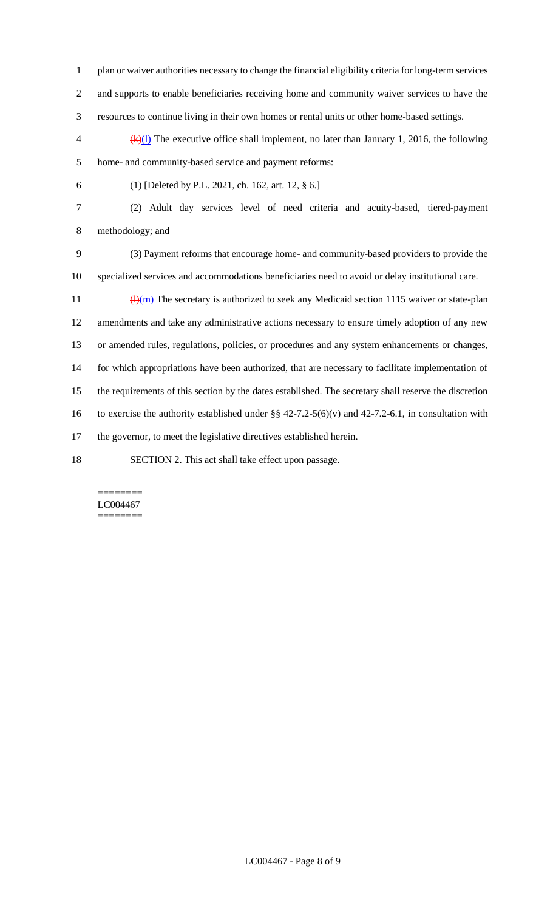- plan or waiver authorities necessary to change the financial eligibility criteria for long-term services and supports to enable beneficiaries receiving home and community waiver services to have the resources to continue living in their own homes or rental units or other home-based settings.
- $\frac{4}{x}(k)$  The executive office shall implement, no later than January 1, 2016, the following home- and community-based service and payment reforms:
- 

(1) [Deleted by P.L. 2021, ch. 162, art. 12, § 6.]

 (2) Adult day services level of need criteria and acuity-based, tiered-payment methodology; and

 (3) Payment reforms that encourage home- and community-based providers to provide the specialized services and accommodations beneficiaries need to avoid or delay institutional care.

 $\frac{(\mathrm{H})(\mathrm{m})}{(\mathrm{H})(\mathrm{m})}$  The secretary is authorized to seek any Medicaid section 1115 waiver or state-plan amendments and take any administrative actions necessary to ensure timely adoption of any new or amended rules, regulations, policies, or procedures and any system enhancements or changes, for which appropriations have been authorized, that are necessary to facilitate implementation of the requirements of this section by the dates established. The secretary shall reserve the discretion 16 to exercise the authority established under  $\S § 42-7.2-5(6)(v)$  and 42-7.2-6.1, in consultation with the governor, to meet the legislative directives established herein.

SECTION 2. This act shall take effect upon passage.

#### ======== LC004467 ========